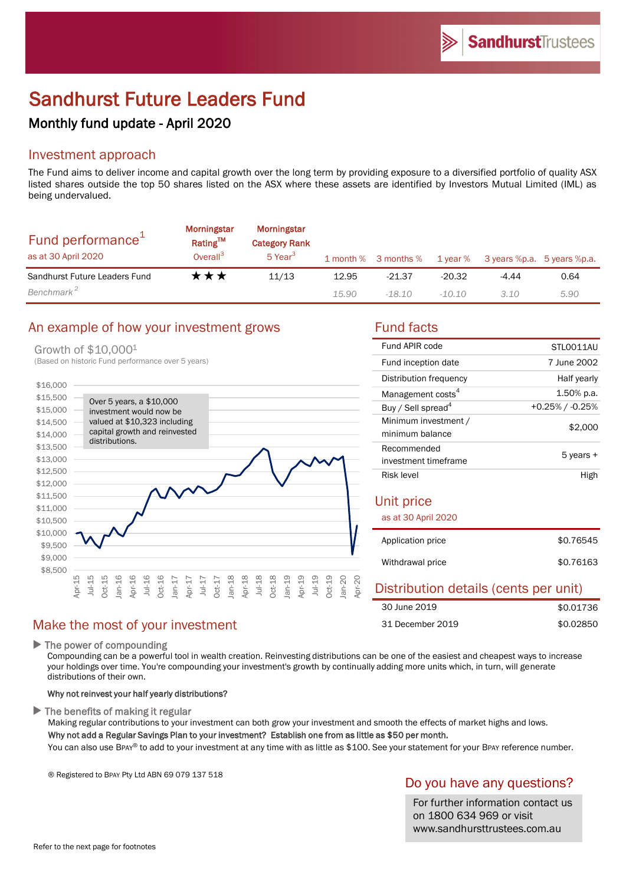# Sandhurst Future Leaders Fund

# Monthly fund update - April 2020

# Investment approach

The Fund aims to deliver income and capital growth over the long term by providing exposure to a diversified portfolio of quality ASX listed shares outside the top 50 shares listed on the ASX where these assets are identified by Investors Mutual Limited (IML) as being undervalued.

| Fund performance <sup>1</sup><br>as at 30 April 2020 | Morningstar<br>Rating™<br>Overall <sup>3</sup> | Morningstar<br><b>Category Rank</b><br>5 Year <sup>3</sup> |       |          |          | 1 month % 3 months % 1 year % 3 years %p.a. 5 years %p.a. |      |
|------------------------------------------------------|------------------------------------------------|------------------------------------------------------------|-------|----------|----------|-----------------------------------------------------------|------|
| Sandhurst Future Leaders Fund                        | ★★★                                            | 11/13                                                      | 12.95 | $-21.37$ | $-20.32$ | -4.44                                                     | 0.64 |
| Benchmark <sup>2</sup>                               |                                                |                                                            | 15.90 | $-18.10$ | -10.10   | 3.10                                                      | 5.90 |

## An example of how your investment grows Fund facts

#### Growth of \$10,000<sup>1</sup>



| Fund APIR code                          | STLO011AU       |  |  |  |
|-----------------------------------------|-----------------|--|--|--|
| Fund inception date                     | 7 June 2002     |  |  |  |
| Distribution frequency                  | Half yearly     |  |  |  |
| Management costs <sup>4</sup>           | 1.50% p.a.      |  |  |  |
| Buy / Sell spread <sup>4</sup>          | +0.25% / -0.25% |  |  |  |
| Minimum investment /<br>minimum balance | \$2,000         |  |  |  |
| Recommended                             | 5 years +       |  |  |  |
| investment timeframe                    |                 |  |  |  |
| Risk level                              | High            |  |  |  |
| Unit price<br>as at 30 April 2020       |                 |  |  |  |
| Application price                       | \$0.76545       |  |  |  |
| Withdrawal price                        | \$0.76163       |  |  |  |
| Distribution details (cents per unit)   |                 |  |  |  |

| 30 June 2019     |  | \$0.01736 |
|------------------|--|-----------|
| 31 December 2019 |  | \$0.02850 |

# Make the most of your investment

 $\blacktriangleright$  The power of compounding

Compounding can be a powerful tool in wealth creation. Reinvesting distributions can be one of the easiest and cheapest ways to increase your holdings over time. You're compounding your investment's growth by continually adding more units which, in turn, will generate distributions of their own.

### Why not reinvest your half yearly distributions?

 $\blacktriangleright$  The benefits of making it regular

Making regular contributions to your investment can both grow your investment and smooth the effects of market highs and lows. Why not add a Regular Savings Plan to your investment? Establish one from as little as \$50 per month.

You can also use BPAY® to add to your investment at any time with as little as \$100. See your statement for your BPAY reference number.

® Registered to BPAY Pty Ltd ABN 69 079 137 518

# Do you have any questions?

For further information contact us on 1800 634 969 or visit www.sandhursttrustees.com.au